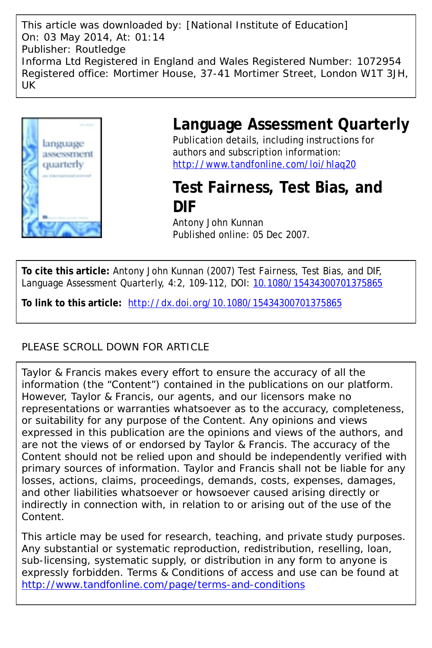This article was downloaded by: [National Institute of Education] On: 03 May 2014, At: 01:14 Publisher: Routledge Informa Ltd Registered in England and Wales Registered Number: 1072954 Registered office: Mortimer House, 37-41 Mortimer Street, London W1T 3JH, UK



# **Language Assessment Quarterly**

Publication details, including instructions for authors and subscription information: <http://www.tandfonline.com/loi/hlaq20>

# **Test Fairness, Test Bias, and DIF**

Antony John Kunnan Published online: 05 Dec 2007.

**To cite this article:** Antony John Kunnan (2007) Test Fairness, Test Bias, and DIF, Language Assessment Quarterly, 4:2, 109-112, DOI: [10.1080/15434300701375865](http://www.tandfonline.com/action/showCitFormats?doi=10.1080/15434300701375865)

**To link to this article:** <http://dx.doi.org/10.1080/15434300701375865>

## PLEASE SCROLL DOWN FOR ARTICLE

Taylor & Francis makes every effort to ensure the accuracy of all the information (the "Content") contained in the publications on our platform. However, Taylor & Francis, our agents, and our licensors make no representations or warranties whatsoever as to the accuracy, completeness, or suitability for any purpose of the Content. Any opinions and views expressed in this publication are the opinions and views of the authors, and are not the views of or endorsed by Taylor & Francis. The accuracy of the Content should not be relied upon and should be independently verified with primary sources of information. Taylor and Francis shall not be liable for any losses, actions, claims, proceedings, demands, costs, expenses, damages, and other liabilities whatsoever or howsoever caused arising directly or indirectly in connection with, in relation to or arising out of the use of the Content.

This article may be used for research, teaching, and private study purposes. Any substantial or systematic reproduction, redistribution, reselling, loan, sub-licensing, systematic supply, or distribution in any form to anyone is expressly forbidden. Terms & Conditions of access and use can be found at <http://www.tandfonline.com/page/terms-and-conditions>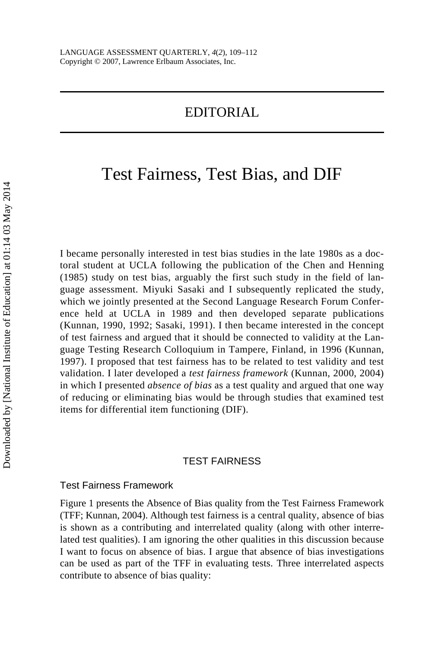HLAQ 1543-4303 1543-4311language Assessment Quarterly, Vol. 4, No. 2, May 2007: pp. 1–7 Quarterly

## EDITORIAL

# Test Fairness, Test Bias, and DIF

I became personally interested in test bias studies in the late 1980s as a doctoral student at UCLA following the publication of the Chen and Henning (1985) study on test bias, arguably the first such study in the field of language assessment. Miyuki Sasaki and I subsequently replicated the study, which we jointly presented at the Second Language Research Forum Conference held at UCLA in 1989 and then developed separate publications (Kunnan, 1990, 1992; Sasaki, 1991). I then became interested in the concept of test fairness and argued that it should be connected to validity at the Language Testing Research Colloquium in Tampere, Finland, in 1996 (Kunnan, 1997). I proposed that test fairness has to be related to test validity and test validation. I later developed a *test fairness framework* (Kunnan, 2000, 2004) in which I presented *absence of bias* as a test quality and argued that one way of reducing or eliminating bias would be through studies that examined test items for differential item functioning (DIF).

### TEST FAIRNESS

#### Test Fairness Framework

Figure 1 presents the Absence of Bias quality from the Test Fairness Framework (TFF; Kunnan, 2004). Although test fairness is a central quality, absence of bias is shown as a contributing and interrelated quality (along with other interrelated test qualities). I am ignoring the other qualities in this discussion because I want to focus on absence of bias. I argue that absence of bias investigations can be used as part of the TFF in evaluating tests. Three interrelated aspects contribute to absence of bias quality: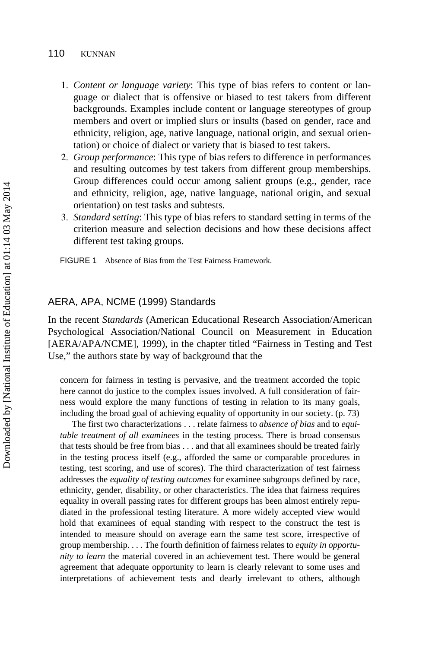#### 110 KUNNAN

- 1. *Content or language variety*: This type of bias refers to content or language or dialect that is offensive or biased to test takers from different backgrounds. Examples include content or language stereotypes of group members and overt or implied slurs or insults (based on gender, race and ethnicity, religion, age, native language, national origin, and sexual orientation) or choice of dialect or variety that is biased to test takers.
- 2. *Group performance*: This type of bias refers to difference in performances and resulting outcomes by test takers from different group memberships. Group differences could occur among salient groups (e.g., gender, race and ethnicity, religion, age, native language, national origin, and sexual orientation) on test tasks and subtests.
- 3. *Standard setting*: This type of bias refers to standard setting in terms of the criterion measure and selection decisions and how these decisions affect different test taking groups.

FIGURE 1 Absence of Bias from the Test Fairness Framework.

#### AERA, APA, NCME (1999) Standards

In the recent *Standards* (American Educational Research Association/American Psychological Association/National Council on Measurement in Education [AERA/APA/NCME], 1999), in the chapter titled "Fairness in Testing and Test Use," the authors state by way of background that the

concern for fairness in testing is pervasive, and the treatment accorded the topic here cannot do justice to the complex issues involved. A full consideration of fairness would explore the many functions of testing in relation to its many goals, including the broad goal of achieving equality of opportunity in our society. (p. 73)

The first two characterizations . . . relate fairness to *absence of bias* and to *equitable treatment of all examinees* in the testing process. There is broad consensus that tests should be free from bias . . . and that all examinees should be treated fairly in the testing process itself (e.g., afforded the same or comparable procedures in testing, test scoring, and use of scores). The third characterization of test fairness addresses the *equality of testing outcomes* for examinee subgroups defined by race, ethnicity, gender, disability, or other characteristics. The idea that fairness requires equality in overall passing rates for different groups has been almost entirely repudiated in the professional testing literature. A more widely accepted view would hold that examinees of equal standing with respect to the construct the test is intended to measure should on average earn the same test score, irrespective of group membership. . . . The fourth definition of fairness relates to *equity in opportunity to learn* the material covered in an achievement test. There would be general agreement that adequate opportunity to learn is clearly relevant to some uses and interpretations of achievement tests and dearly irrelevant to others, although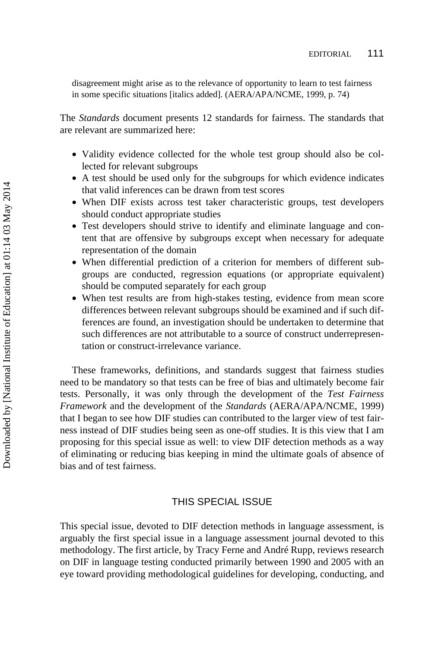disagreement might arise as to the relevance of opportunity to learn to test fairness in some specific situations [italics added]. (AERA/APA/NCME, 1999, p. 74)

The *Standards* document presents 12 standards for fairness. The standards that are relevant are summarized here:

- Validity evidence collected for the whole test group should also be collected for relevant subgroups
- A test should be used only for the subgroups for which evidence indicates that valid inferences can be drawn from test scores
- When DIF exists across test taker characteristic groups, test developers should conduct appropriate studies
- Test developers should strive to identify and eliminate language and content that are offensive by subgroups except when necessary for adequate representation of the domain
- When differential prediction of a criterion for members of different subgroups are conducted, regression equations (or appropriate equivalent) should be computed separately for each group
- When test results are from high-stakes testing, evidence from mean score differences between relevant subgroups should be examined and if such differences are found, an investigation should be undertaken to determine that such differences are not attributable to a source of construct underrepresentation or construct-irrelevance variance.

These frameworks, definitions, and standards suggest that fairness studies need to be mandatory so that tests can be free of bias and ultimately become fair tests. Personally, it was only through the development of the *Test Fairness Framework* and the development of the *Standards* (AERA/APA/NCME, 1999) that I began to see how DIF studies can contributed to the larger view of test fairness instead of DIF studies being seen as one-off studies. It is this view that I am proposing for this special issue as well: to view DIF detection methods as a way of eliminating or reducing bias keeping in mind the ultimate goals of absence of bias and of test fairness.

### THIS SPECIAL ISSUE

This special issue, devoted to DIF detection methods in language assessment, is arguably the first special issue in a language assessment journal devoted to this methodology. The first article, by Tracy Ferne and André Rupp, reviews research on DIF in language testing conducted primarily between 1990 and 2005 with an eye toward providing methodological guidelines for developing, conducting, and